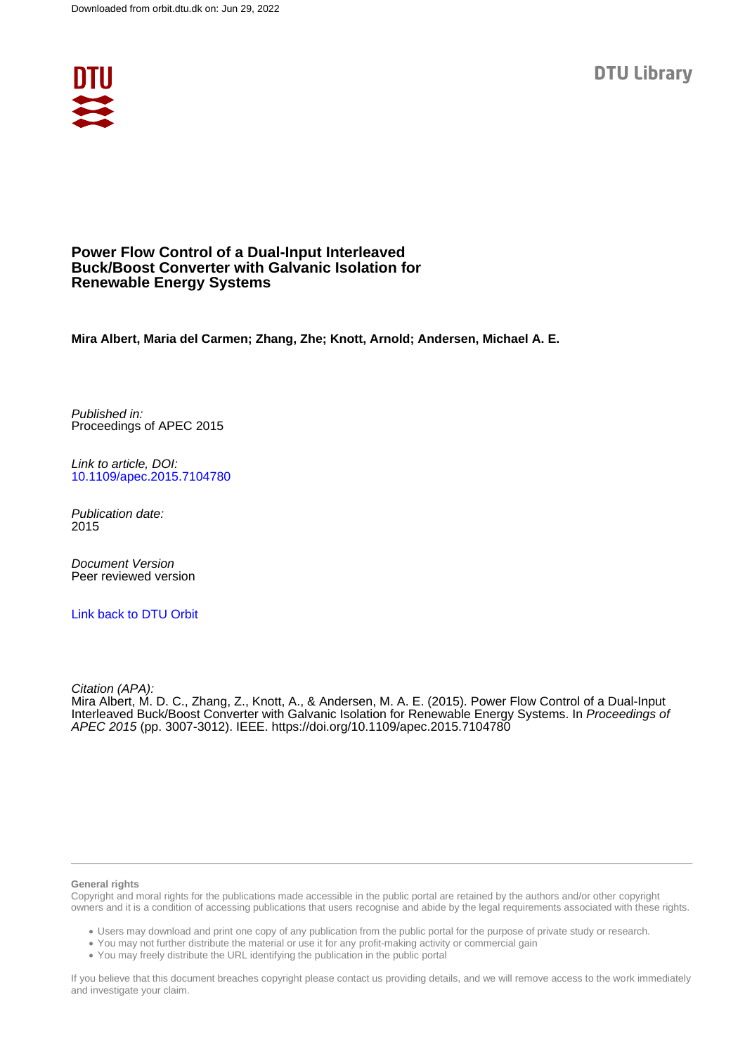**DTU Library** 



# **Power Flow Control of a Dual-Input Interleaved Buck/Boost Converter with Galvanic Isolation for Renewable Energy Systems**

**Mira Albert, Maria del Carmen; Zhang, Zhe; Knott, Arnold; Andersen, Michael A. E.**

Published in: Proceedings of APEC 2015

Link to article, DOI: [10.1109/apec.2015.7104780](https://doi.org/10.1109/apec.2015.7104780)

Publication date: 2015

Document Version Peer reviewed version

[Link back to DTU Orbit](https://orbit.dtu.dk/en/publications/48fd3d18-dc23-4ab8-8ae3-d6f5b7ed880d)

Citation (APA):

Mira Albert, M. D. C., Zhang, Z., Knott, A., & Andersen, M. A. E. (2015). Power Flow Control of a Dual-Input Interleaved Buck/Boost Converter with Galvanic Isolation for Renewable Energy Systems. In Proceedings of APEC 2015 (pp. 3007-3012). IEEE.<https://doi.org/10.1109/apec.2015.7104780>

#### **General rights**

Copyright and moral rights for the publications made accessible in the public portal are retained by the authors and/or other copyright owners and it is a condition of accessing publications that users recognise and abide by the legal requirements associated with these rights.

Users may download and print one copy of any publication from the public portal for the purpose of private study or research.

- You may not further distribute the material or use it for any profit-making activity or commercial gain
- You may freely distribute the URL identifying the publication in the public portal

If you believe that this document breaches copyright please contact us providing details, and we will remove access to the work immediately and investigate your claim.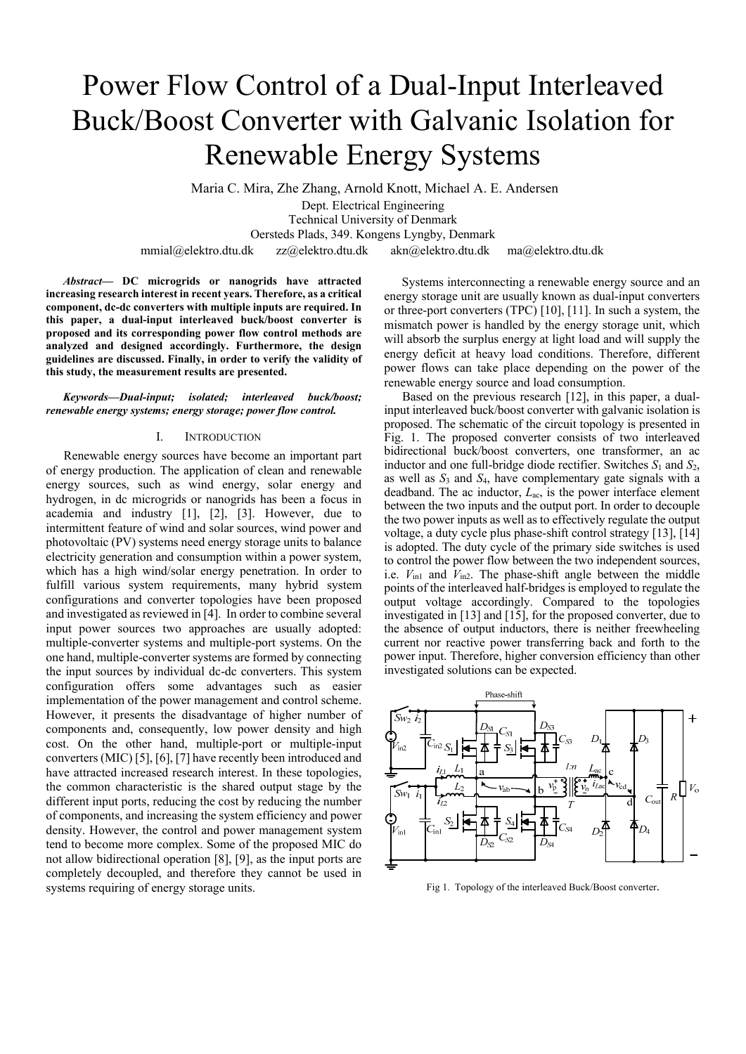# Power Flow Control of a Dual-Input Interleaved Buck/Boost Converter with Galvanic Isolation for Renewable Energy Systems

 Maria C. Mira, Zhe Zhang, Arnold Knott, Michael A. E. Andersen Dept. Electrical Engineering Technical University of Denmark Oersteds Plads, 349. Kongens Lyngby, Denmark mmial@elektro.dtu.dk zz@elektro.dtu.dk akn@elektro.dtu.dk ma@elektro.dtu.dk

*Abstract***— DC microgrids or nanogrids have attracted increasing research interest in recent years. Therefore, as a critical component, dc-dc converters with multiple inputs are required. In this paper, a dual-input interleaved buck/boost converter is proposed and its corresponding power flow control methods are analyzed and designed accordingly. Furthermore, the design guidelines are discussed. Finally, in order to verify the validity of this study, the measurement results are presented.** 

*Keywords—Dual-input; isolated; interleaved buck/boost; renewable energy systems; energy storage; power flow control.* 

#### I. INTRODUCTION

Renewable energy sources have become an important part of energy production. The application of clean and renewable energy sources, such as wind energy, solar energy and hydrogen, in dc microgrids or nanogrids has been a focus in academia and industry [1], [2], [3]. However, due to intermittent feature of wind and solar sources, wind power and photovoltaic (PV) systems need energy storage units to balance electricity generation and consumption within a power system, which has a high wind/solar energy penetration. In order to fulfill various system requirements, many hybrid system configurations and converter topologies have been proposed and investigated as reviewed in [4]. In order to combine several input power sources two approaches are usually adopted: multiple-converter systems and multiple-port systems. On the one hand, multiple-converter systems are formed by connecting the input sources by individual dc-dc converters. This system configuration offers some advantages such as easier implementation of the power management and control scheme. However, it presents the disadvantage of higher number of components and, consequently, low power density and high cost. On the other hand, multiple-port or multiple-input converters (MIC) [5], [6], [7] have recently been introduced and have attracted increased research interest. In these topologies, the common characteristic is the shared output stage by the different input ports, reducing the cost by reducing the number of components, and increasing the system efficiency and power density. However, the control and power management system tend to become more complex. Some of the proposed MIC do not allow bidirectional operation [8], [9], as the input ports are completely decoupled, and therefore they cannot be used in systems requiring of energy storage units.

Systems interconnecting a renewable energy source and an energy storage unit are usually known as dual-input converters or three-port converters (TPC) [10], [11]. In such a system, the mismatch power is handled by the energy storage unit, which will absorb the surplus energy at light load and will supply the energy deficit at heavy load conditions. Therefore, different power flows can take place depending on the power of the renewable energy source and load consumption.

Based on the previous research [12], in this paper, a dualinput interleaved buck/boost converter with galvanic isolation is proposed. The schematic of the circuit topology is presented in Fig. 1. The proposed converter consists of two interleaved bidirectional buck/boost converters, one transformer, an ac inductor and one full-bridge diode rectifier. Switches  $S_1$  and  $S_2$ , as well as *S*3 and *S*4, have complementary gate signals with a deadband. The ac inductor, *L*ac, is the power interface element between the two inputs and the output port. In order to decouple the two power inputs as well as to effectively regulate the output voltage, a duty cycle plus phase-shift control strategy [13], [14] is adopted. The duty cycle of the primary side switches is used to control the power flow between the two independent sources, i.e. *V*in1 and *V*in2. The phase-shift angle between the middle points of the interleaved half-bridges is employed to regulate the output voltage accordingly. Compared to the topologies investigated in [13] and [15], for the proposed converter, due to the absence of output inductors, there is neither freewheeling current nor reactive power transferring back and forth to the power input. Therefore, higher conversion efficiency than other investigated solutions can be expected.



Fig 1. Topology of the interleaved Buck/Boost converter.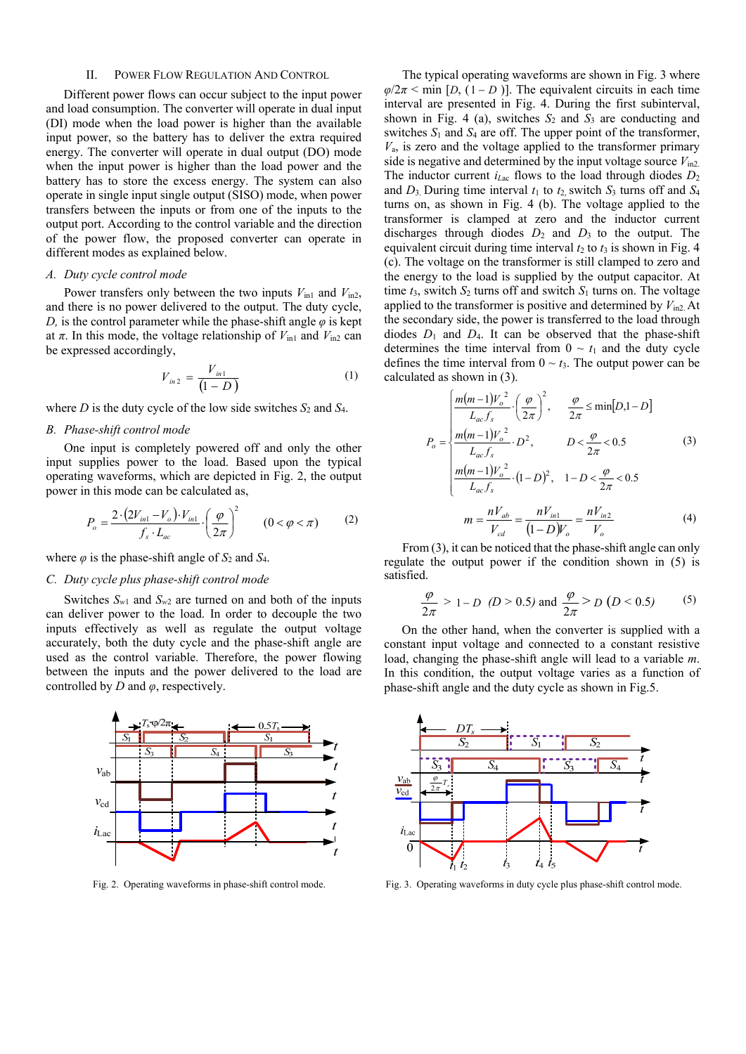# II. POWER FLOW REGULATION AND CONTROL

Different power flows can occur subject to the input power and load consumption. The converter will operate in dual input (DI) mode when the load power is higher than the available input power, so the battery has to deliver the extra required energy. The converter will operate in dual output (DO) mode when the input power is higher than the load power and the battery has to store the excess energy. The system can also operate in single input single output (SISO) mode, when power transfers between the inputs or from one of the inputs to the output port. According to the control variable and the direction of the power flow, the proposed converter can operate in different modes as explained below.

#### *A. Duty cycle control mode*

Power transfers only between the two inputs  $V_{\text{in1}}$  and  $V_{\text{in2}}$ , and there is no power delivered to the output. The duty cycle, *D*, is the control parameter while the phase-shift angle  $\varphi$  is kept at  $\pi$ . In this mode, the voltage relationship of  $V_{\text{in1}}$  and  $V_{\text{in2}}$  can be expressed accordingly,

$$
V_{in2} = \frac{V_{in1}}{(1 - D)}
$$
 (1)

where *D* is the duty cycle of the low side switches *S*2 and *S*4.

# *B. Phase-shift control mode*

One input is completely powered off and only the other input supplies power to the load. Based upon the typical operating waveforms, which are depicted in Fig. 2, the output power in this mode can be calculated as,

$$
P_o = \frac{2 \cdot (2V_{in1} - V_o) \cdot V_{in1}}{f_s \cdot L_{ac}} \cdot \left(\frac{\varphi}{2\pi}\right)^2 \qquad (0 < \varphi < \pi) \tag{2}
$$

where  $\varphi$  is the phase-shift angle of  $S_2$  and  $S_4$ .

# *C. Duty cycle plus phase-shift control mode*

Switches  $S_{w1}$  and  $S_{w2}$  are turned on and both of the inputs can deliver power to the load. In order to decouple the two inputs effectively as well as regulate the output voltage accurately, both the duty cycle and the phase-shift angle are used as the control variable. Therefore, the power flowing between the inputs and the power delivered to the load are controlled by *D* and *φ*, respectively.



The typical operating waveforms are shown in Fig. 3 where  $\varphi/2\pi$  < min [*D*, (1 – *D*)]. The equivalent circuits in each time interval are presented in Fig. 4. During the first subinterval, shown in Fig. 4 (a), switches *S*2 and *S*3 are conducting and switches  $S_1$  and  $S_4$  are off. The upper point of the transformer,  $V_a$ , is zero and the voltage applied to the transformer primary side is negative and determined by the input voltage source  $V_{\text{in2}}$ . The inductor current  $i_{Lac}$  flows to the load through diodes  $D_2$ and  $D_3$  During time interval  $t_1$  to  $t_2$  switch  $S_3$  turns off and  $S_4$ turns on, as shown in Fig. 4 (b). The voltage applied to the transformer is clamped at zero and the inductor current discharges through diodes  $D_2$  and  $D_3$  to the output. The equivalent circuit during time interval  $t_2$  to  $t_3$  is shown in Fig. 4 (c). The voltage on the transformer is still clamped to zero and the energy to the load is supplied by the output capacitor. At time  $t_3$ , switch  $S_2$  turns off and switch  $S_1$  turns on. The voltage applied to the transformer is positive and determined by *V*in2. At the secondary side, the power is transferred to the load through diodes *D*1 and *D*4. It can be observed that the phase-shift determines the time interval from  $0 \sim t_1$  and the duty cycle defines the time interval from  $0 \sim t_3$ . The output power can be calculated as shown in (3).

$$
P_o = \begin{cases} \frac{m(m-1)V_o^2}{L_{ac}f_s} \cdot \left(\frac{\varphi}{2\pi}\right)^2, & \frac{\varphi}{2\pi} \le \min[D, 1-D] \\ \frac{m(m-1)V_o^2}{L_{ac}f_s} \cdot D^2, & D < \frac{\varphi}{2\pi} < 0.5 \\ \frac{m(m-1)V_o^2}{L_{ac}f_s} \cdot (1-D)^2, & 1-D < \frac{\varphi}{2\pi} < 0.5 \\ m = \frac{nV_{ab}}{V_{cd}} = \frac{nV_{in1}}{(1-D)V_o} = \frac{nV_{in2}}{V_o} \end{cases}
$$
(4)

From (3), it can be noticed that the phase-shift angle can only regulate the output power if the condition shown in (5) is satisfied.

$$
\frac{\varphi}{2\pi} > 1 - D \quad (D > 0.5) \text{ and } \frac{\varphi}{2\pi} > D \quad (D < 0.5)
$$
 (5)

On the other hand, when the converter is supplied with a constant input voltage and connected to a constant resistive load, changing the phase-shift angle will lead to a variable *m*. In this condition, the output voltage varies as a function of phase-shift angle and the duty cycle as shown in Fig.5.



Fig. 2. Operating waveforms in phase-shift control mode. Fig. 3. Operating waveforms in duty cycle plus phase-shift control mode.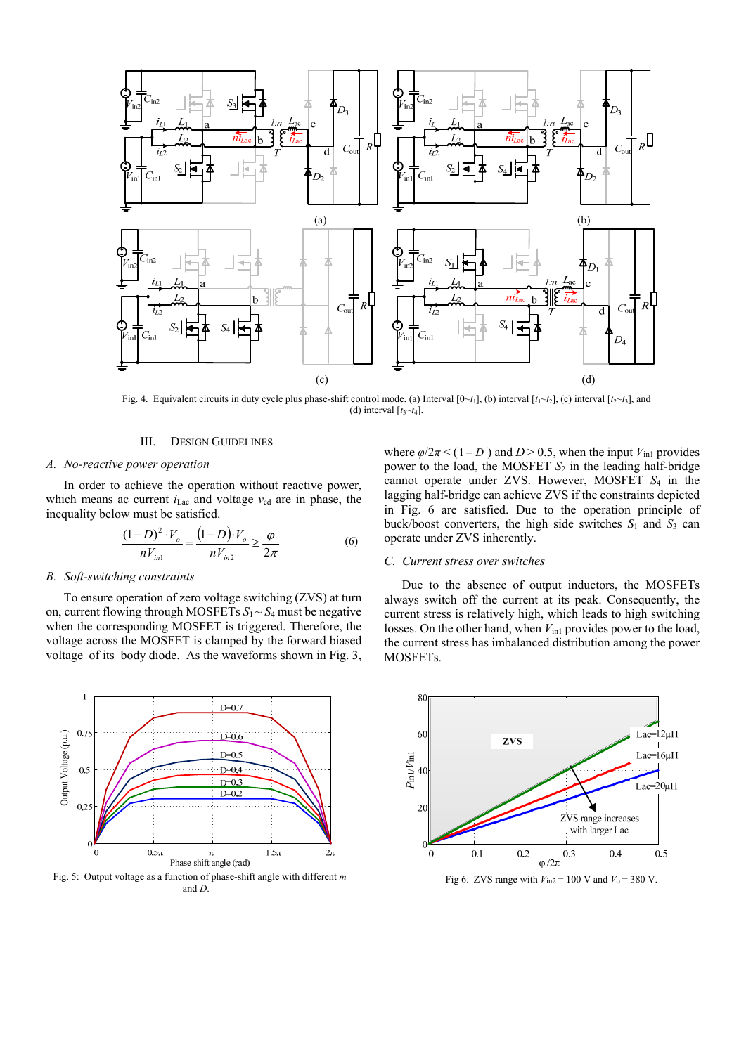

Fig. 4. Equivalent circuits in duty cycle plus phase-shift control mode. (a) Interval  $[0 \sim t_1]$ , (b) interval  $[t_1 \sim t_2]$ , (c) interval  $[t_2 \sim t_3]$ , and (d) interval  $[t<sub>3</sub>~t<sub>4</sub>]$ .

#### III. DESIGN GUIDELINES

#### *A. No-reactive power operation*

In order to achieve the operation without reactive power, which means ac current  $i$ <sub>Lac</sub> and voltage  $v_{cd}$  are in phase, the inequality below must be satisfied.

$$
\frac{(1-D)^2 \cdot V_o}{nV_{in1}} = \frac{(1-D) \cdot V_o}{nV_{in2}} \ge \frac{\varphi}{2\pi}
$$
 (6)

#### *B. Soft-switching constraints*

To ensure operation of zero voltage switching (ZVS) at turn on, current flowing through MOSFETs  $S_1 \sim S_4$  must be negative when the corresponding MOSFET is triggered. Therefore, the voltage across the MOSFET is clamped by the forward biased voltage of its body diode. As the waveforms shown in Fig. 3,



and *D*.

where  $\varphi/2\pi < (1 - D)$  and  $D > 0.5$ , when the input  $V_{\text{in1}}$  provides power to the load, the MOSFET *S*2 in the leading half-bridge cannot operate under ZVS. However, MOSFET *S*4 in the lagging half-bridge can achieve ZVS if the constraints depicted in Fig. 6 are satisfied. Due to the operation principle of buck/boost converters, the high side switches  $S_1$  and  $S_3$  can operate under ZVS inherently.

# *C. Current stress over switches*

Due to the absence of output inductors, the MOSFETs always switch off the current at its peak. Consequently, the current stress is relatively high, which leads to high switching losses. On the other hand, when  $V_{\text{in1}}$  provides power to the load, the current stress has imbalanced distribution among the power MOSFETs.

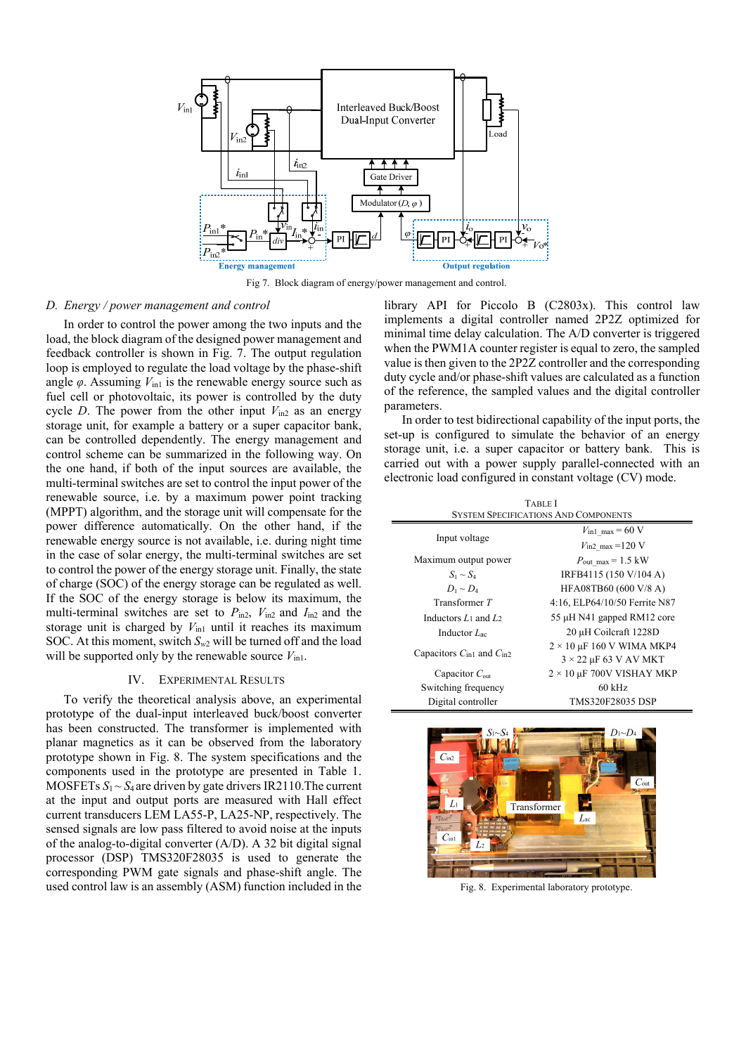

Fig 7. Block diagram of energy/power management and control.

#### *D. Energy / power management and control*

 In order to control the power among the two inputs and the load, the block diagram of the designed power management and feedback controller is shown in Fig. 7. The output regulation loop is employed to regulate the load voltage by the phase-shift angle  $\varphi$ . Assuming  $V_{\text{in1}}$  is the renewable energy source such as fuel cell or photovoltaic, its power is controlled by the duty cycle *D*. The power from the other input  $V_{\text{in2}}$  as an energy storage unit, for example a battery or a super capacitor bank, can be controlled dependently. The energy management and control scheme can be summarized in the following way. On the one hand, if both of the input sources are available, the multi-terminal switches are set to control the input power of the renewable source, i.e. by a maximum power point tracking (MPPT) algorithm, and the storage unit will compensate for the power difference automatically. On the other hand, if the renewable energy source is not available, i.e. during night time in the case of solar energy, the multi-terminal switches are set to control the power of the energy storage unit. Finally, the state of charge (SOC) of the energy storage can be regulated as well. If the SOC of the energy storage is below its maximum, the multi-terminal switches are set to  $P_{\text{in2}}$ ,  $V_{\text{in2}}$  and  $I_{\text{in2}}$  and the storage unit is charged by  $V_{\text{in1}}$  until it reaches its maximum SOC. At this moment, switch  $S_{w2}$  will be turned off and the load will be supported only by the renewable source  $V_{\text{in1}}$ .

# IV. EXPERIMENTAL RESULTS

 To verify the theoretical analysis above, an experimental prototype of the dual-input interleaved buck/boost converter has been constructed. The transformer is implemented with planar magnetics as it can be observed from the laboratory prototype shown in Fig. 8. The system specifications and the components used in the prototype are presented in Table 1. MOSFETs  $S_1 \sim S_4$  are driven by gate drivers IR2110. The current at the input and output ports are measured with Hall effect current transducers LEM LA55-P, LA25-NP, respectively. The sensed signals are low pass filtered to avoid noise at the inputs of the analog-to-digital converter (A/D). A 32 bit digital signal processor (DSP) TMS320F28035 is used to generate the corresponding PWM gate signals and phase-shift angle. The used control law is an assembly (ASM) function included in the library API for Piccolo B (C2803x). This control law implements a digital controller named 2P2Z optimized for minimal time delay calculation. The A/D converter is triggered when the PWM1A counter register is equal to zero, the sampled value is then given to the 2P2Z controller and the corresponding duty cycle and/or phase-shift values are calculated as a function of the reference, the sampled values and the digital controller parameters.

 In order to test bidirectional capability of the input ports, the set-up is configured to simulate the behavior of an energy storage unit, i.e. a super capacitor or battery bank. This is carried out with a power supply parallel-connected with an electronic load configured in constant voltage (CV) mode.

 TABLE I SYSTEM SPECIFICATIONS AND COMPONENTS

| Input voltage                                    | $V_{\text{in1 max}}$ = 60 V      |
|--------------------------------------------------|----------------------------------|
|                                                  | $V_{\text{in2}}$ max =120 V      |
| Maximum output power                             | $P_{\text{out}}$ max = 1.5 kW    |
| $S_1 \sim S_4$                                   | IRFB4115 (150 V/104 A)           |
| $D_1 \sim D_4$                                   | HFA08TB60 (600 V/8 A)            |
| Transformer T                                    | 4:16, ELP64/10/50 Ferrite N87    |
| Inductors $L_1$ and $L_2$                        | 55 µH N41 gapped RM12 core       |
| Inductor $L_{ac}$                                | 20 µH Coilcraft 1228D            |
| Capacitors $C_{\text{in1}}$ and $C_{\text{in2}}$ | $2 \times 10$ µF 160 V WIMA MKP4 |
|                                                  | $3 \times 22$ µF 63 V AV MKT     |
| Capacitor $C_{\text{out}}$                       | $2 \times 10$ µF 700V VISHAY MKP |
| Switching frequency                              | $60$ kHz                         |
| Digital controller                               | <b>TMS320F28035 DSP</b>          |



Fig. 8. Experimental laboratory prototype.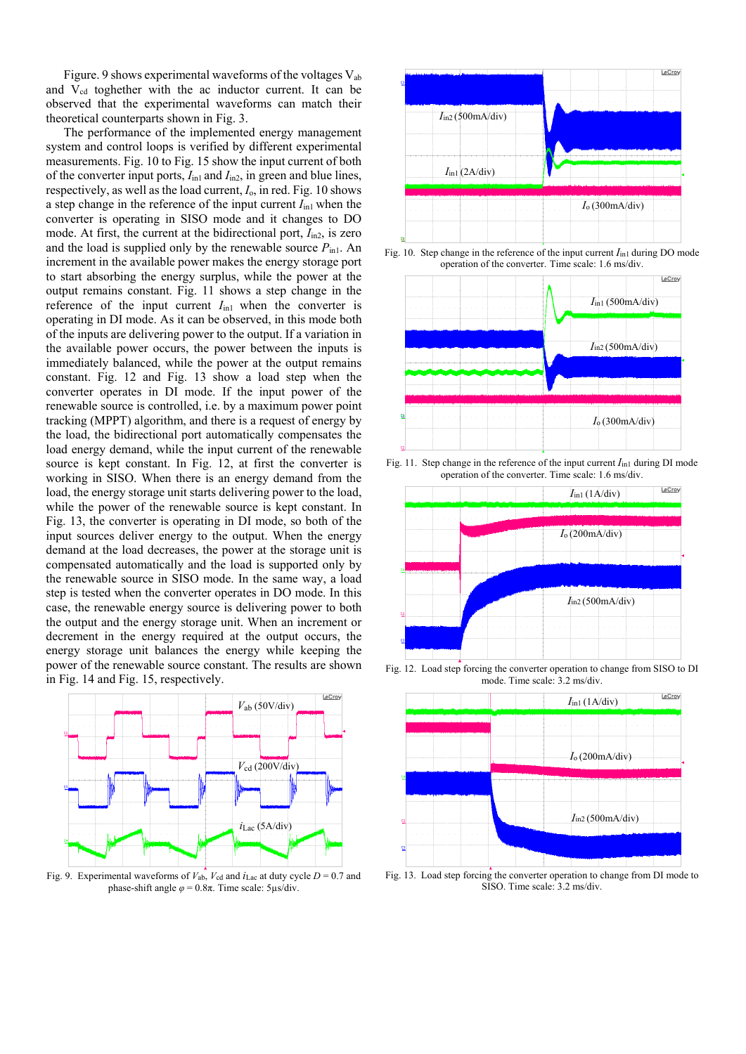Figure. 9 shows experimental waveforms of the voltages Vab and V<sub>cd</sub> toghether with the ac inductor current. It can be observed that the experimental waveforms can match their theoretical counterparts shown in Fig. 3.

 The performance of the implemented energy management system and control loops is verified by different experimental measurements. Fig. 10 to Fig. 15 show the input current of both of the converter input ports,  $I_{\text{in1}}$  and  $I_{\text{in2}}$ , in green and blue lines, respectively, as well as the load current, *I*o, in red. Fig. 10 shows a step change in the reference of the input current  $I_{\text{in}}$ <sub>1</sub> when the converter is operating in SISO mode and it changes to DO mode. At first, the current at the bidirectional port,  $I_{\text{in2}}$ , is zero and the load is supplied only by the renewable source  $P_{\text{in1}}$ . An increment in the available power makes the energy storage port to start absorbing the energy surplus, while the power at the output remains constant. Fig. 11 shows a step change in the reference of the input current  $I_{\text{in1}}$  when the converter is operating in DI mode. As it can be observed, in this mode both of the inputs are delivering power to the output. If a variation in the available power occurs, the power between the inputs is immediately balanced, while the power at the output remains constant. Fig. 12 and Fig. 13 show a load step when the converter operates in DI mode. If the input power of the renewable source is controlled, i.e. by a maximum power point tracking (MPPT) algorithm, and there is a request of energy by the load, the bidirectional port automatically compensates the load energy demand, while the input current of the renewable source is kept constant. In Fig. 12, at first the converter is working in SISO. When there is an energy demand from the load, the energy storage unit starts delivering power to the load, while the power of the renewable source is kept constant. In Fig. 13, the converter is operating in DI mode, so both of the input sources deliver energy to the output. When the energy demand at the load decreases, the power at the storage unit is compensated automatically and the load is supported only by the renewable source in SISO mode. In the same way, a load step is tested when the converter operates in DO mode. In this case, the renewable energy source is delivering power to both the output and the energy storage unit. When an increment or decrement in the energy required at the output occurs, the energy storage unit balances the energy while keeping the power of the renewable source constant. The results are shown in Fig. 14 and Fig. 15, respectively.



Fig. 9. Experimental waveforms of *V*ab, *V*cd and *i*Lac at duty cycle *D* = 0.7 and phase-shift angle  $\varphi$  = 0.8π. Time scale: 5μs/div.



Fig. 10. Step change in the reference of the input current  $I_{\text{in1}}$  during DO mode operation of the converter. Time scale: 1.6 ms/div.



Fig. 11. Step change in the reference of the input current  $I_{\text{in1}}$  during DI mode operation of the converter. Time scale: 1.6 ms/div.



Fig. 12. Load step forcing the converter operation to change from SISO to DI mode. Time scale: 3.2 ms/div.



Fig. 13. Load step forcing the converter operation to change from DI mode to SISO. Time scale: 3.2 ms/div.